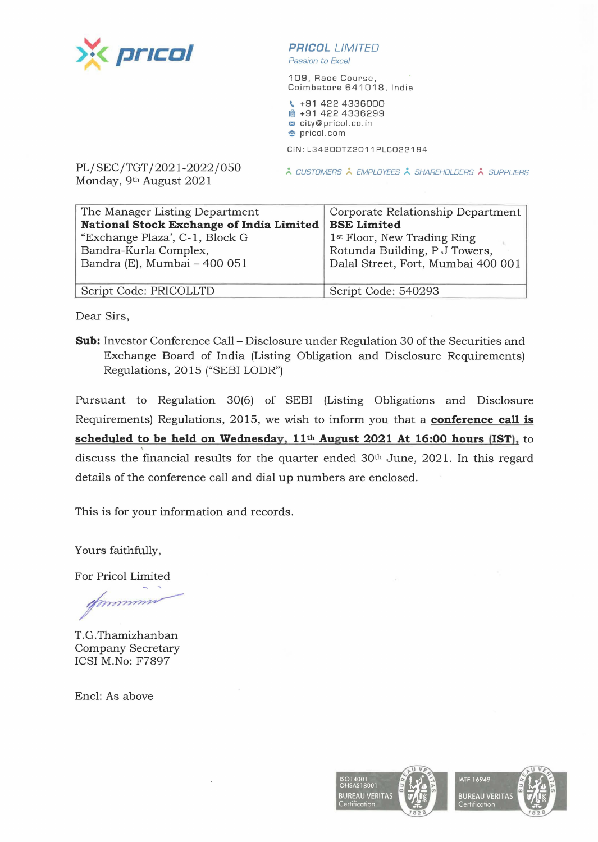

**PR/COL** LIMITED Passion to Excel

109, Race Course, Coimbatore 641018, India

**t,.** +91 422 4336000 **■ +91 422 4336299** <sup>~</sup>city@pricol.co.in  $\bullet$  pricol.com

CIN : L34200TZ2011PLC022194

PL/SEC/TGT/2021-2022/050 Monday, 9th August 2021

À CUSTOMERS À EMPLOYEES À SHAREHOLDERS À SUPPLIERS

| The Manager Listing Department           | Corporate Relationship Department       |
|------------------------------------------|-----------------------------------------|
| National Stock Exchange of India Limited | <b>BSE Limited</b>                      |
| "Exchange Plaza', C-1, Block G           | 1 <sup>st</sup> Floor, New Trading Ring |
| Bandra-Kurla Complex,                    | Rotunda Building, P J Towers,           |
| Bandra (E), Mumbai - 400 051             | Dalal Street, Fort, Mumbai 400 001      |
|                                          |                                         |
| Script Code: PRICOLLTD                   | Script Code: 540293                     |

Dear Sirs,

**Sub:** Investor Conference Call – Disclosure under Regulation 30 of the Securities and Exchange Board of India (Listing Obligation and Disclosure Requirements) Regulations, 2015 ("SEBI LODR")

Pursuant to Regulation 30(6) of SEBI (Listing Obligations and Disclosure Requirements) Regulations, 2015, we wish to inform you that a **conference call is schedu.led to be held on Wednesday, 11th August 2021 At 16:00 hours (1ST),** to discuss the financial results for the quarter ended 30<sup>th</sup> June, 2021. In this regard details of the conference call and dial up numbers are enclosed.

This is for your information and records.

Yours faithfully,

For Pricol Limited

nunung

T.G.Thamizhanban Company Secretary ICSI M.No: F7897

Encl: As above

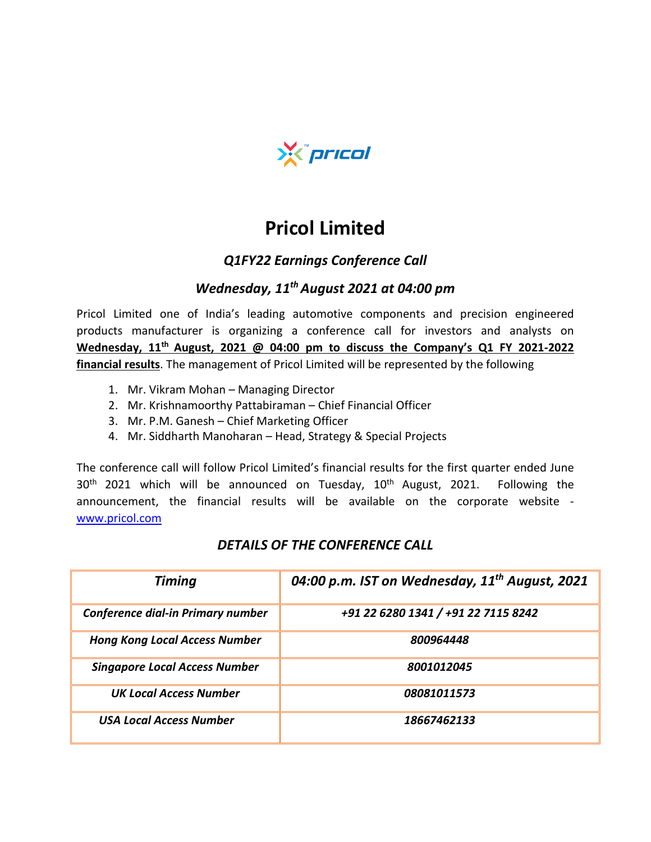

# **Pricol Limited**

### *Q1FY22 Earnings Conference Call*

# *Wednesday, 11thAugust 2021 at 04:00 pm*

Pricol Limited one of India's leading automotive components and precision engineered products manufacturer is organizing a conference call for investors and analysts on **Wednesday, 11th August, 2021 @ 04:00 pm to discuss the Company's Q1 FY 2021-2022 financial results**. The management of Pricol Limited will be represented by the following

- 1. Mr. Vikram Mohan Managing Director
- 2. Mr. Krishnamoorthy Pattabiraman Chief Financial Officer
- 3. Mr. P.M. Ganesh Chief Marketing Officer
- 4. Mr. Siddharth Manoharan Head, Strategy & Special Projects

The conference call will follow Pricol Limited's financial results for the first quarter ended June  $30<sup>th</sup>$  2021 which will be announced on Tuesday,  $10<sup>th</sup>$  August, 2021. Following the announcement, the financial results will be available on the corporate website [www.pricol.com](http://www.pricol.com/)

| <b>Timing</b>                        | 04:00 p.m. IST on Wednesday, 11 <sup>th</sup> August, 2021 |
|--------------------------------------|------------------------------------------------------------|
| Conference dial-in Primary number    | +91 22 6280 1341 / +91 22 7115 8242                        |
| <b>Hong Kong Local Access Number</b> | 800964448                                                  |
| <b>Singapore Local Access Number</b> | 8001012045                                                 |
| <b>UK Local Access Number</b>        | 08081011573                                                |
| <b>USA Local Access Number</b>       | 18667462133                                                |

#### *DETAILS OF THE CONFERENCE CALL*